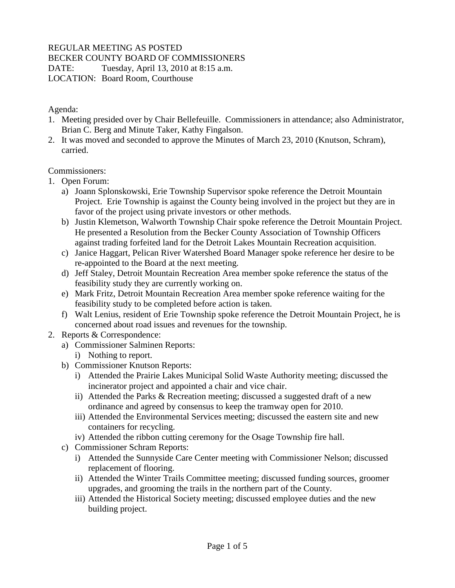## REGULAR MEETING AS POSTED

BECKER COUNTY BOARD OF COMMISSIONERS

DATE: Tuesday, April 13, 2010 at 8:15 a.m.

LOCATION: Board Room, Courthouse

Agenda:

- 1. Meeting presided over by Chair Bellefeuille. Commissioners in attendance; also Administrator, Brian C. Berg and Minute Taker, Kathy Fingalson.
- 2. It was moved and seconded to approve the Minutes of March 23, 2010 (Knutson, Schram), carried.

Commissioners:

- 1. Open Forum:
	- a) Joann Splonskowski, Erie Township Supervisor spoke reference the Detroit Mountain Project. Erie Township is against the County being involved in the project but they are in favor of the project using private investors or other methods.
	- b) Justin Klemetson, Walworth Township Chair spoke reference the Detroit Mountain Project. He presented a Resolution from the Becker County Association of Township Officers against trading forfeited land for the Detroit Lakes Mountain Recreation acquisition.
	- c) Janice Haggart, Pelican River Watershed Board Manager spoke reference her desire to be re-appointed to the Board at the next meeting.
	- d) Jeff Staley, Detroit Mountain Recreation Area member spoke reference the status of the feasibility study they are currently working on.
	- e) Mark Fritz, Detroit Mountain Recreation Area member spoke reference waiting for the feasibility study to be completed before action is taken.
	- f) Walt Lenius, resident of Erie Township spoke reference the Detroit Mountain Project, he is concerned about road issues and revenues for the township.
- 2. Reports & Correspondence:
	- a) Commissioner Salminen Reports:
		- i) Nothing to report.
	- b) Commissioner Knutson Reports:
		- i) Attended the Prairie Lakes Municipal Solid Waste Authority meeting; discussed the incinerator project and appointed a chair and vice chair.
		- ii) Attended the Parks & Recreation meeting; discussed a suggested draft of a new ordinance and agreed by consensus to keep the tramway open for 2010.
		- iii) Attended the Environmental Services meeting; discussed the eastern site and new containers for recycling.
		- iv) Attended the ribbon cutting ceremony for the Osage Township fire hall.
	- c) Commissioner Schram Reports:
		- i) Attended the Sunnyside Care Center meeting with Commissioner Nelson; discussed replacement of flooring.
		- ii) Attended the Winter Trails Committee meeting; discussed funding sources, groomer upgrades, and grooming the trails in the northern part of the County.
		- iii) Attended the Historical Society meeting; discussed employee duties and the new building project.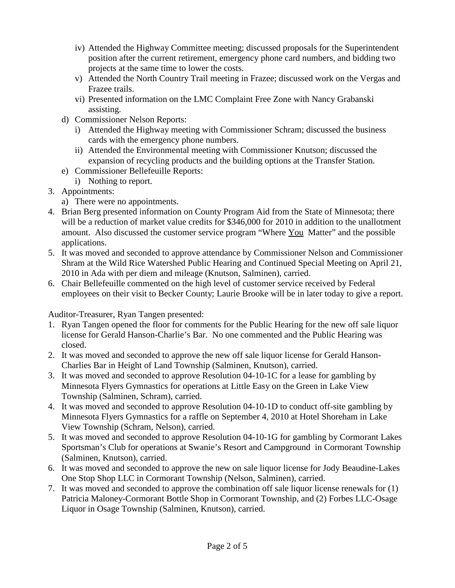- iv) Attended the Highway Committee meeting; discussed proposals for the Superintendent position after the current retirement, emergency phone card numbers, and bidding two projects at the same time to lower the costs.
- v) Attended the North Country Trail meeting in Frazee; discussed work on the Vergas and Frazee trails.
- vi) Presented information on the LMC Complaint Free Zone with Nancy Grabanski assisting.
- d) Commissioner Nelson Reports:
	- i) Attended the Highway meeting with Commissioner Schram; discussed the business cards with the emergency phone numbers.
	- ii) Attended the Environmental meeting with Commissioner Knutson; discussed the expansion of recycling products and the building options at the Transfer Station.
- e) Commissioner Bellefeuille Reports:
- i) Nothing to report.
- 3. Appointments:
	- a) There were no appointments.
- 4. Brian Berg presented information on County Program Aid from the State of Minnesota; there will be a reduction of market value credits for \$346,000 for 2010 in addition to the unallotment amount. Also discussed the customer service program "Where You Matter" and the possible applications.
- 5. It was moved and seconded to approve attendance by Commissioner Nelson and Commissioner Shram at the Wild Rice Watershed Public Hearing and Continued Special Meeting on April 21, 2010 in Ada with per diem and mileage (Knutson, Salminen), carried.
- 6. Chair Bellefeuille commented on the high level of customer service received by Federal employees on their visit to Becker County; Laurie Brooke will be in later today to give a report.

Auditor-Treasurer, Ryan Tangen presented:

- 1. Ryan Tangen opened the floor for comments for the Public Hearing for the new off sale liquor license for Gerald Hanson-Charlie's Bar. No one commented and the Public Hearing was closed.
- 2. It was moved and seconded to approve the new off sale liquor license for Gerald Hanson-Charlies Bar in Height of Land Township (Salminen, Knutson), carried.
- 3. It was moved and seconded to approve Resolution 04-10-1C for a lease for gambling by Minnesota Flyers Gymnastics for operations at Little Easy on the Green in Lake View Township (Salminen, Schram), carried.
- 4. It was moved and seconded to approve Resolution 04-10-1D to conduct off-site gambling by Minnesota Flyers Gymnastics for a raffle on September 4, 2010 at Hotel Shoreham in Lake View Township (Schram, Nelson), carried.
- 5. It was moved and seconded to approve Resolution 04-10-1G for gambling by Cormorant Lakes Sportsman's Club for operations at Swanie's Resort and Campground in Cormorant Township (Salminen, Knutson), carried.
- 6. It was moved and seconded to approve the new on sale liquor license for Jody Beaudine-Lakes One Stop Shop LLC in Cormorant Township (Nelson, Salminen), carried.
- 7. It was moved and seconded to approve the combination off sale liquor license renewals for (1) Patricia Maloney-Cormorant Bottle Shop in Cormorant Township, and (2) Forbes LLC-Osage Liquor in Osage Township (Salminen, Knutson), carried.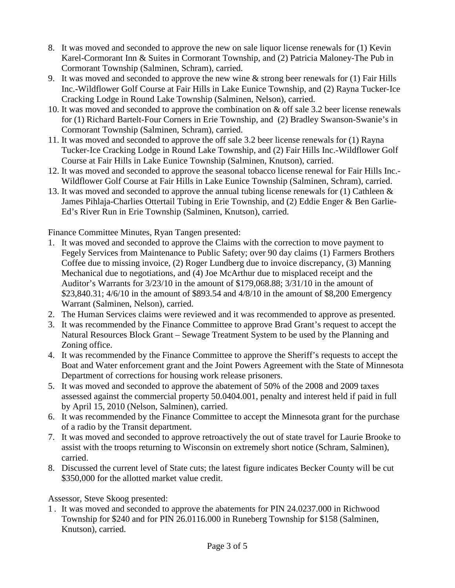- 8. It was moved and seconded to approve the new on sale liquor license renewals for (1) Kevin Karel-Cormorant Inn & Suites in Cormorant Township, and (2) Patricia Maloney-The Pub in Cormorant Township (Salminen, Schram), carried.
- 9. It was moved and seconded to approve the new wine  $\&$  strong beer renewals for (1) Fair Hills Inc.-Wildflower Golf Course at Fair Hills in Lake Eunice Township, and (2) Rayna Tucker-Ice Cracking Lodge in Round Lake Township (Salminen, Nelson), carried.
- 10. It was moved and seconded to approve the combination on & off sale 3.2 beer license renewals for (1) Richard Bartelt-Four Corners in Erie Township, and (2) Bradley Swanson-Swanie's in Cormorant Township (Salminen, Schram), carried.
- 11. It was moved and seconded to approve the off sale 3.2 beer license renewals for (1) Rayna Tucker-Ice Cracking Lodge in Round Lake Township, and (2) Fair Hills Inc.-Wildflower Golf Course at Fair Hills in Lake Eunice Township (Salminen, Knutson), carried.
- 12. It was moved and seconded to approve the seasonal tobacco license renewal for Fair Hills Inc.- Wildflower Golf Course at Fair Hills in Lake Eunice Township (Salminen, Schram), carried.
- 13. It was moved and seconded to approve the annual tubing license renewals for (1) Cathleen & James Pihlaja-Charlies Ottertail Tubing in Erie Township, and (2) Eddie Enger & Ben Garlie-Ed's River Run in Erie Township (Salminen, Knutson), carried.

Finance Committee Minutes, Ryan Tangen presented:

- 1. It was moved and seconded to approve the Claims with the correction to move payment to Fegely Services from Maintenance to Public Safety; over 90 day claims (1) Farmers Brothers Coffee due to missing invoice, (2) Roger Lundberg due to invoice discrepancy, (3) Manning Mechanical due to negotiations, and (4) Joe McArthur due to misplaced receipt and the Auditor's Warrants for 3/23/10 in the amount of \$179,068.88; 3/31/10 in the amount of \$23,840.31; 4/6/10 in the amount of \$893.54 and 4/8/10 in the amount of \$8,200 Emergency Warrant (Salminen, Nelson), carried.
- 2. The Human Services claims were reviewed and it was recommended to approve as presented.
- 3. It was recommended by the Finance Committee to approve Brad Grant's request to accept the Natural Resources Block Grant – Sewage Treatment System to be used by the Planning and Zoning office.
- 4. It was recommended by the Finance Committee to approve the Sheriff's requests to accept the Boat and Water enforcement grant and the Joint Powers Agreement with the State of Minnesota Department of corrections for housing work release prisoners.
- 5. It was moved and seconded to approve the abatement of 50% of the 2008 and 2009 taxes assessed against the commercial property 50.0404.001, penalty and interest held if paid in full by April 15, 2010 (Nelson, Salminen), carried.
- 6. It was recommended by the Finance Committee to accept the Minnesota grant for the purchase of a radio by the Transit department.
- 7. It was moved and seconded to approve retroactively the out of state travel for Laurie Brooke to assist with the troops returning to Wisconsin on extremely short notice (Schram, Salminen), carried.
- 8. Discussed the current level of State cuts; the latest figure indicates Becker County will be cut \$350,000 for the allotted market value credit.

Assessor, Steve Skoog presented:

1 . It was moved and seconded to approve the abatements for PIN 24.0237.000 in Richwood Township for \$240 and for PIN 26.0116.000 in Runeberg Township for \$158 (Salminen, Knutson), carried.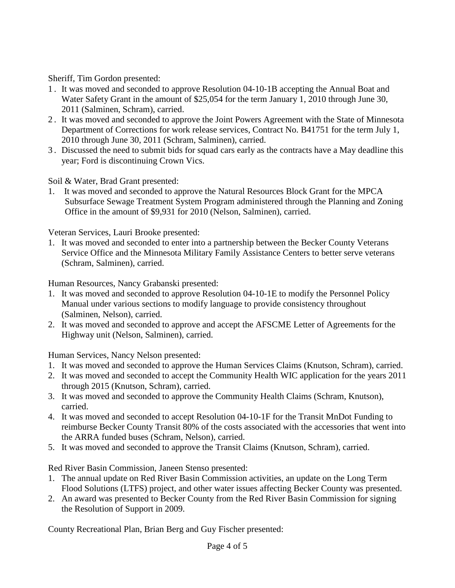Sheriff, Tim Gordon presented:

- 1 . It was moved and seconded to approve Resolution 04-10-1B accepting the Annual Boat and Water Safety Grant in the amount of \$25,054 for the term January 1, 2010 through June 30, 2011 (Salminen, Schram), carried.
- 2 . It was moved and seconded to approve the Joint Powers Agreement with the State of Minnesota Department of Corrections for work release services, Contract No. B41751 for the term July 1, 2010 through June 30, 2011 (Schram, Salminen), carried.
- 3 . Discussed the need to submit bids for squad cars early as the contracts have a May deadline this year; Ford is discontinuing Crown Vics.

Soil & Water, Brad Grant presented:

1. It was moved and seconded to approve the Natural Resources Block Grant for the MPCA Subsurface Sewage Treatment System Program administered through the Planning and Zoning Office in the amount of \$9,931 for 2010 (Nelson, Salminen), carried.

Veteran Services, Lauri Brooke presented:

1. It was moved and seconded to enter into a partnership between the Becker County Veterans Service Office and the Minnesota Military Family Assistance Centers to better serve veterans (Schram, Salminen), carried.

Human Resources, Nancy Grabanski presented:

- 1. It was moved and seconded to approve Resolution 04-10-1E to modify the Personnel Policy Manual under various sections to modify language to provide consistency throughout (Salminen, Nelson), carried.
- 2. It was moved and seconded to approve and accept the AFSCME Letter of Agreements for the Highway unit (Nelson, Salminen), carried.

Human Services, Nancy Nelson presented:

- 1. It was moved and seconded to approve the Human Services Claims (Knutson, Schram), carried.
- 2. It was moved and seconded to accept the Community Health WIC application for the years 2011 through 2015 (Knutson, Schram), carried.
- 3. It was moved and seconded to approve the Community Health Claims (Schram, Knutson), carried.
- 4. It was moved and seconded to accept Resolution 04-10-1F for the Transit MnDot Funding to reimburse Becker County Transit 80% of the costs associated with the accessories that went into the ARRA funded buses (Schram, Nelson), carried.
- 5. It was moved and seconded to approve the Transit Claims (Knutson, Schram), carried.

Red River Basin Commission, Janeen Stenso presented:

- 1. The annual update on Red River Basin Commission activities, an update on the Long Term Flood Solutions (LTFS) project, and other water issues affecting Becker County was presented.
- 2. An award was presented to Becker County from the Red River Basin Commission for signing the Resolution of Support in 2009.

County Recreational Plan, Brian Berg and Guy Fischer presented: